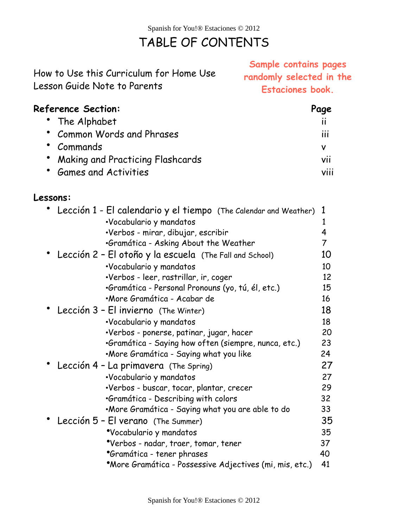# TABLE OF CONTENTS

|                                         | <b>Participle Community Pages</b> |
|-----------------------------------------|-----------------------------------|
| How to Use this Curriculum for Home Use | randomly selected in the          |
| Lesson Guide Note to Parents            | <b>Estaciones book.</b>           |
|                                         |                                   |

## **Reference Section: Page** • The Alphabet ii • Common Words and Phrases iii • Commands v • Making and Practicing Flashcards vii • Games and Activities viii

#### **Lessons:**

| ow to Use this Curriculum for Home Use<br>sson Guide Note to Parents: | Sample contains pages<br>randomly selected in the<br><b>Estaciones book.</b> |                |
|-----------------------------------------------------------------------|------------------------------------------------------------------------------|----------------|
| :ference Section:                                                     |                                                                              | Page           |
| • The Alphabet                                                        |                                                                              | $\mathbf{H}$   |
| <b>Common Words and Phrases</b>                                       |                                                                              | iii            |
| • Commands                                                            |                                                                              | V              |
| • Making and Practicing Flashcards                                    |                                                                              | vii            |
| <b>Games and Activities</b>                                           |                                                                              |                |
|                                                                       |                                                                              | viii           |
| :ssons:                                                               |                                                                              |                |
| Lección 1 - El calendario y el tiempo (The Calendar and Weather)      |                                                                              | 1              |
| ·Vocabulario y mandatos                                               |                                                                              | 1              |
| •Verbos - mirar, dibujar, escribir                                    |                                                                              | 4              |
| •Gramática - Asking About the Weather                                 |                                                                              | $\overline{7}$ |
| Lección 2 - El otoño y la escuela (The Fall and School)               |                                                                              | 10             |
| ·Vocabulario y mandatos                                               |                                                                              | 10             |
| ·Verbos - leer, rastrillar, ir, coger                                 |                                                                              | 12             |
| •Gramática - Personal Pronouns (yo, tú, él, etc.)                     |                                                                              | 15             |
| •More Gramática - Acabar de                                           |                                                                              | 16             |
| Lección 3 - El invierno (The Winter)                                  |                                                                              | 18             |
| ·Vocabulario y mandatos                                               |                                                                              | 18             |
| •Verbos - ponerse, patinar, jugar, hacer                              |                                                                              | 20             |
| •Gramática - Saying how often (siempre, nunca, etc.)                  |                                                                              | 23             |
| ·More Gramática - Saying what you like                                |                                                                              | 24             |
| Lección 4 - La primavera (The Spring)                                 |                                                                              | 27             |
| ·Vocabulario y mandatos                                               |                                                                              | 27             |
| •Verbos - buscar, tocar, plantar, crecer                              |                                                                              | 29             |
| •Gramática - Describing with colors                                   |                                                                              | 32             |
| •More Gramática - Saying what you are able to do                      |                                                                              | 33             |
| Lección 5 - El verano (The Summer)                                    |                                                                              | 35             |
| *Vocabulario y mandatos                                               |                                                                              | 35             |
| *Verbos - nadar, traer, tomar, tener                                  |                                                                              | 37             |
| *Gramática - tener phrases                                            |                                                                              | 40             |
| *More Gramática - Possessive Adjectives (mi, mis, etc.)               |                                                                              | 41             |
| Spanish for You!® Estaciones © 2012                                   |                                                                              |                |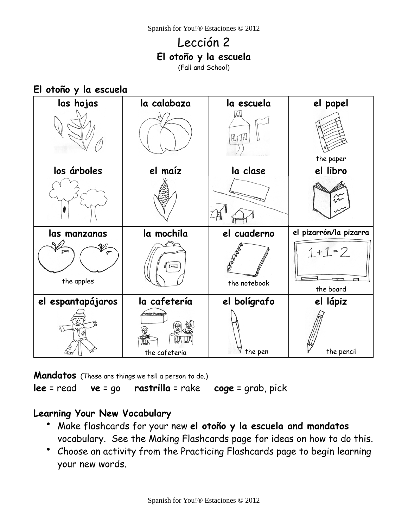# Lección 2 **El otoño y la escuela**

(Fall and School)

#### **El otoño y la escuela**

| las hojas                  | la calabaza                       | la escuela   | el papel                  |
|----------------------------|-----------------------------------|--------------|---------------------------|
|                            |                                   | H<br>₶       | the paper                 |
| los árboles                | el maíz                           | la clase     | el libro                  |
|                            |                                   |              | $\widetilde{\mathcal{N}}$ |
|                            |                                   |              |                           |
| las manzanas               | la mochila                        | el cuaderno  | el pizarrón/la pizarra    |
| $\checkmark$<br>the apples | $\boxed{\overline{\phantom{m}}}%$ | the notebook | $1 + 1 = 2$<br>the board  |
| el espantapájaros          | la cafetería                      | el bolígrafo | el lápiz                  |

**Mandatos** (These are things we tell a person to do.)

**lee** = read **ve** = go **rastrilla** = rake **coge** = grab, pick

#### **Learning Your New Vocabulary**

- Make flashcards for your new **el otoño y la escuela and mandatos** vocabulary. See the Making Flashcards page for ideas on how to do this.
- Choose an activity from the Practicing Flashcards page to begin learning your new words.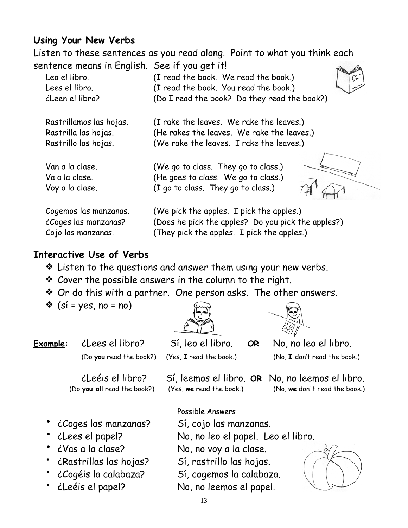## **Using Your New Verbs**

Listen to these sentences as you read along. Point to what you think each sentence means in English. See if you get it!  $A$ 

| Leo el libro.           | (I read the book. We read the book.)               |
|-------------------------|----------------------------------------------------|
| Lees el libro.          | (I read the book. You read the book.)              |
| <i>i</i> Leen el libro? | (Do I read the book? Do they read the book?)       |
| Rastrillamos las hojas. | (I rake the leaves. We rake the leaves.)           |
| Rastrilla las hojas.    | (He rakes the leaves. We rake the leaves.)         |
| Rastrillo las hojas.    | (We rake the leaves. I rake the leaves.)           |
| Van a la clase.         | (We go to class. They go to class.)                |
| Va a la clase.          | (He goes to class. We go to class.)                |
| Voy a la clase.         | (I go to class. They go to class.)                 |
| Cogemos las manzanas.   | (We pick the apples. I pick the apples.)           |
| ¿Coges las manzanas?    | (Does he pick the apples? Do you pick the apples?) |
| Cojo las manzanas.      | (They pick the apples. I pick the apples.)         |

#### **Interactive Use of Verbs**

- ❖ Listen to the questions and answer them using your new verbs.
- ❖ Cover the possible answers in the column to the right.
- ❖ Or do this with a partner. One person asks. The other answers.
- $\hat{\mathbf{v}}$  (si = yes, no = no)





**Example:** ¿Lees el libro? Sí, leo el libro. **OR** No, no leo el libro. (Do **you** read the book?) (Yes, **I** read the book.) (No, **I** don't read the book.)

| iLeéis el libro?                                     | Sí, leemos el libro. OR No, no leemos el libro. |                               |
|------------------------------------------------------|-------------------------------------------------|-------------------------------|
| (Do you all read the book?) (Yes, we read the book.) |                                                 | (No, we don't read the book.) |

- ¿Coges las manzanas? Sí, cojo las manzanas.
- 
- 
- 
- 
- 

Possible Answers

• ¿Lees el papel? No, no leo el papel. Leo el libro.

• ¿Vas a la clase? No, no voy a la clase.

- ¿Rastrillas las hojas? Sí, rastrillo las hojas.
- ¿Cogéis la calabaza? Sí, cogemos la calabaza.
- ¿Leéis el papel? No, no leemos el papel.

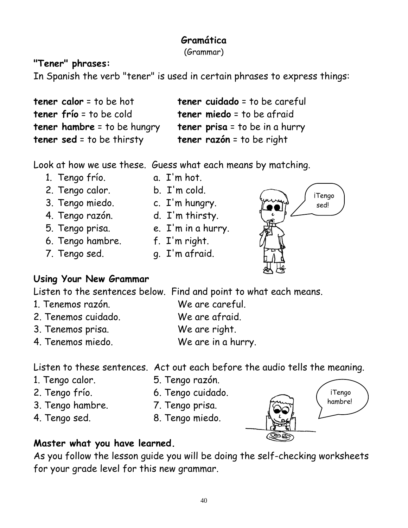# **Gramática**

(Grammar)

## **"Tener" phrases:**

In Spanish the verb "tener" is used in certain phrases to express things:

| <b>tener calor</b> = to be hot     | tener cuidado = to be careful         |
|------------------------------------|---------------------------------------|
| <b>tener frío = t</b> o be cold    | <b>tener miedo</b> = to be afraid     |
| <b>tener hambre</b> = to be hungry | <b>tener prisa</b> = to be in a hurry |
| <b>tener sed</b> = to be thirsty   | <b>tener razón</b> = to be right      |

Look at how we use these. Guess what each means by matching.

- 1. Tengo frío. a. I'm hot.
- 
- 2. Tengo calor. b. I'm cold.
- 3. Tengo miedo. c. I'm hungry.
	-
- 4. Tengo razón. d. I'm thirsty.
- 
- 
- 7. Tengo sed. g. I'm afraid.
- 5. Tengo prisa. e. I'm in a hurry.
- 6. Tengo hambre. f. I'm right.
	-
- **iTengo** sed!

## **Using Your New Grammar**

Listen to the sentences below. Find and point to what each means.

- 1. Tenemos razón. We are careful.
- 2. Tenemos cuidado. We are afraid.
- 3. Tenemos prisa. We are right.
- 4. Tenemos miedo. We are in a hurry.

Listen to these sentences. Act out each before the audio tells the meaning.

- 
- 1. Tengo calor. 5. Tengo razón.
- 2. Tengo frío. 6. Tengo cuidado.
- 3. Tengo hambre. 7. Tengo prisa.
- 
- 
- 4. Tengo sed. 8. Tengo miedo.



## **Master what you have learned.**

As you follow the lesson guide you will be doing the self-checking worksheets for your grade level for this new grammar.